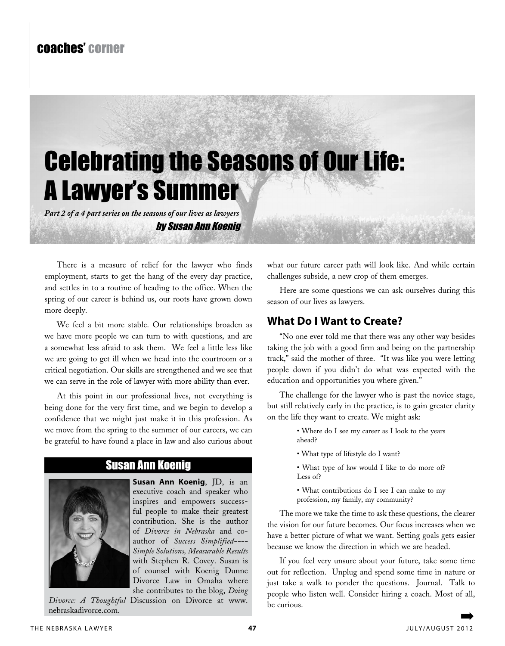# coaches' corner

# Celebrating the Seasons of Our Life: A Lawyer's Summer

*Part 2 of a 4 part series on the seasons of our lives as lawyers*

by Susan Ann Koenig

There is a measure of relief for the lawyer who finds employment, starts to get the hang of the every day practice, and settles in to a routine of heading to the office. When the spring of our career is behind us, our roots have grown down more deeply.

We feel a bit more stable. Our relationships broaden as we have more people we can turn to with questions, and are a somewhat less afraid to ask them. We feel a little less like we are going to get ill when we head into the courtroom or a critical negotiation. Our skills are strengthened and we see that we can serve in the role of lawyer with more ability than ever.

At this point in our professional lives, not everything is being done for the very first time, and we begin to develop a confidence that we might just make it in this profession. As we move from the spring to the summer of our careers, we can be grateful to have found a place in law and also curious about

### Susan Ann Koenig

**Susan Ann Koenig**, JD, is an executive coach and speaker who inspires and empowers successful people to make their greatest contribution. She is the author of *Divorce in Nebraska* and coauthor of *Success Simplified---- Simple Solutions, Measurable Results* with Stephen R. Covey. Susan is of counsel with Koenig Dunne Divorce Law in Omaha where she contributes to the blog, *Doing* 

*Divorce: A Thoughtful* Discussion on Divorce at www. nebraskadivorce.com.

what our future career path will look like. And while certain challenges subside, a new crop of them emerges.

Here are some questions we can ask ourselves during this season of our lives as lawyers.

### **What Do I Want to Create?**

"No one ever told me that there was any other way besides taking the job with a good firm and being on the partnership track," said the mother of three. "It was like you were letting people down if you didn't do what was expected with the education and opportunities you where given."

The challenge for the lawyer who is past the novice stage, but still relatively early in the practice, is to gain greater clarity on the life they want to create. We might ask:

- Where do I see my career as I look to the years ahead?
- What type of lifestyle do I want?
- What type of law would I like to do more of? Less of?
- What contributions do I see I can make to my profession, my family, my community?

The more we take the time to ask these questions, the clearer the vision for our future becomes. Our focus increases when we have a better picture of what we want. Setting goals gets easier because we know the direction in which we are headed.

If you feel very unsure about your future, take some time out for reflection. Unplug and spend some time in nature or just take a walk to ponder the questions. Journal. Talk to people who listen well. Consider hiring a coach. Most of all, be curious.



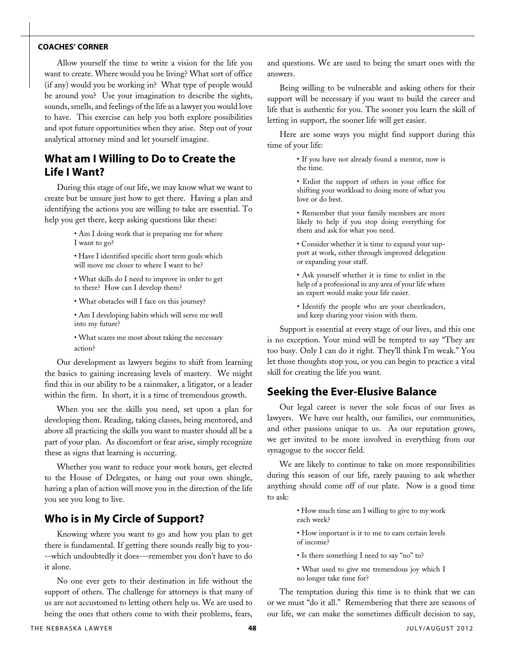#### **coaches' corner**

Allow yourself the time to write a vision for the life you want to create. Where would you be living? What sort of office (if any) would you be working in? What type of people would be around you? Use your imagination to describe the sights, sounds, smells, and feelings of the life as a lawyer you would love to have. This exercise can help you both explore possibilities and spot future opportunities when they arise. Step out of your analytical attorney mind and let yourself imagine.

#### **What am I Willing to Do to Create the Life I Want?**

During this stage of our life, we may know what we want to create but be unsure just how to get there. Having a plan and identifying the actions you are willing to take are essential. To help you get there, keep asking questions like these:

> • Am I doing work that is preparing me for where I want to go?

> • Have I identified specific short term goals which will move me closer to where I want to be?

> • What skills do I need to improve in order to get to there? How can I develop them?

• What obstacles will I face on this journey?

• Am I developing habits which will serve me well into my future?

• What scares me most about taking the necessary action?

Our development as lawyers begins to shift from learning the basics to gaining increasing levels of mastery. We might find this in our ability to be a rainmaker, a litigator, or a leader within the firm. In short, it is a time of tremendous growth.

When you see the skills you need, set upon a plan for developing them. Reading, taking classes, being mentored, and above all practicing the skills you want to master should all be a part of your plan. As discomfort or fear arise, simply recognize these as signs that learning is occurring.

Whether you want to reduce your work hours, get elected to the House of Delegates, or hang out your own shingle, having a plan of action will move you in the direction of the life you see you long to live.

#### **Who is in My Circle of Support?**

Knowing where you want to go and how you plan to get there is fundamental. If getting there sounds really big to you- --which undoubtedly it does---remember you don't have to do it alone.

No one ever gets to their destination in life without the support of others. The challenge for attorneys is that many of us are not accustomed to letting others help us. We are used to being the ones that others come to with their problems, fears,

and questions. We are used to being the smart ones with the answers.

Being willing to be vulnerable and asking others for their support will be necessary if you want to build the career and life that is authentic for you. The sooner you learn the skill of letting in support, the sooner life will get easier.

Here are some ways you might find support during this time of your life:

> • If you have not already found a mentor, now is the time.

> • Enlist the support of others in your office for shifting your workload to doing more of what you love or do best.

> • Remember that your family members are more likely to help if you stop doing everything for them and ask for what you need.

> • Consider whether it is time to expand your support at work, either through improved delegation or expanding your staff.

> • Ask yourself whether it is time to enlist in the help of a professional in any area of your life where an expert would make your life easier.

> • Identify the people who are your cheerleaders, and keep sharing your vision with them.

Support is essential at every stage of our lives, and this one is no exception. Your mind will be tempted to say "They are too busy. Only I can do it right. They'll think I'm weak." You let those thoughts stop you, or you can begin to practice a vital skill for creating the life you want.

#### **Seeking the Ever-Elusive Balance**

Our legal career is never the sole focus of our lives as lawyers. We have our health, our families, our communities, and other passions unique to us. As our reputation grows, we get invited to be more involved in everything from our synagogue to the soccer field.

We are likely to continue to take on more responsibilities during this season of our life, rarely pausing to ask whether anything should come off of our plate. Now is a good time to ask:

> • How much time am I willing to give to my work each week?

- How important is it to me to earn certain levels of income?
- Is there something I need to say "no" to?

• What used to give me tremendous joy which I no longer take time for?

The temptation during this time is to think that we can or we must "do it all." Remembering that there are seasons of our life, we can make the sometimes difficult decision to say,